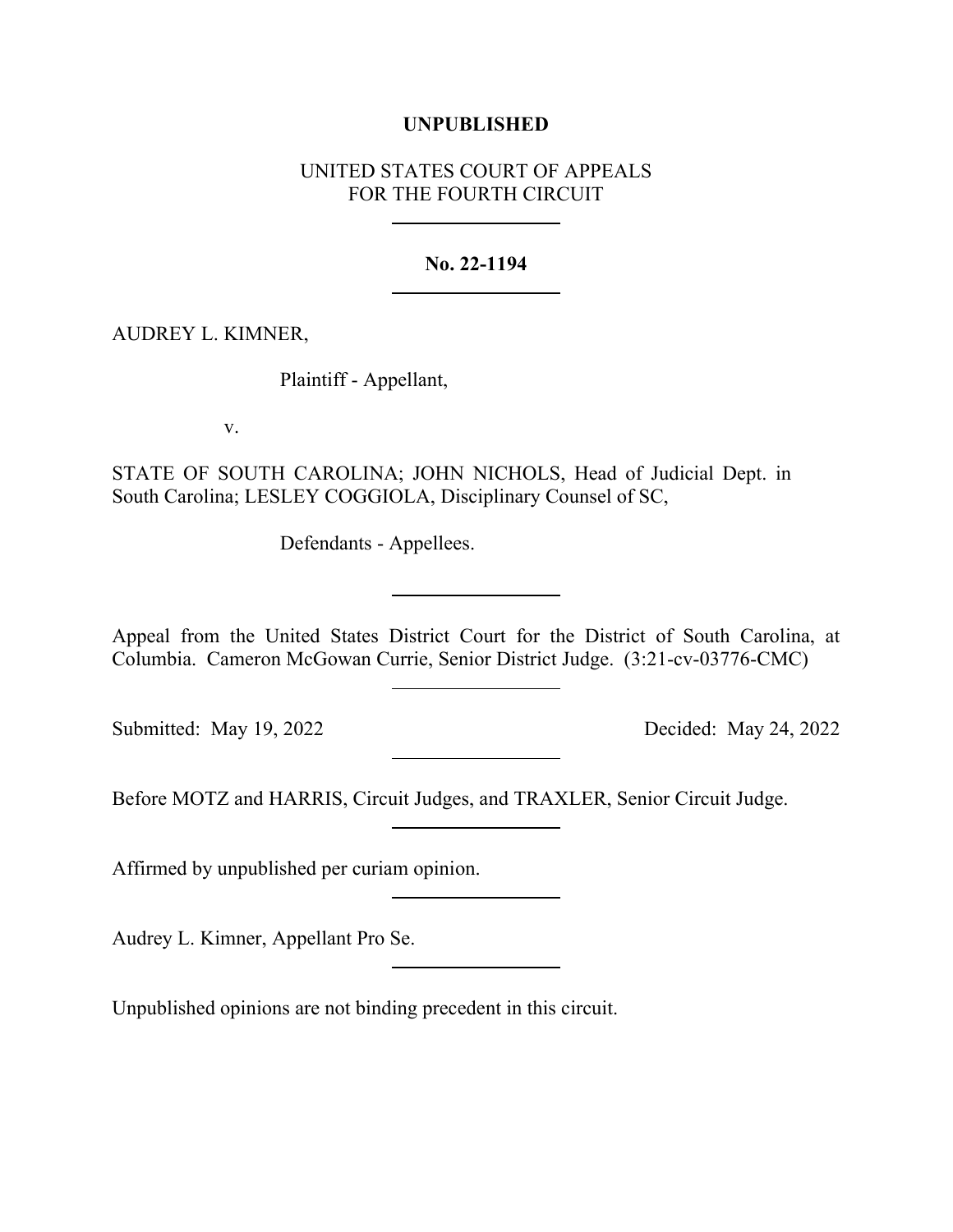## **UNPUBLISHED**

# UNITED STATES COURT OF APPEALS FOR THE FOURTH CIRCUIT

#### **No. 22-1194**

## AUDREY L. KIMNER,

Plaintiff - Appellant,

v.

STATE OF SOUTH CAROLINA; JOHN NICHOLS, Head of Judicial Dept. in South Carolina; LESLEY COGGIOLA, Disciplinary Counsel of SC,

Defendants - Appellees.

Appeal from the United States District Court for the District of South Carolina, at Columbia. Cameron McGowan Currie, Senior District Judge. (3:21-cv-03776-CMC)

Submitted: May 19, 2022 Decided: May 24, 2022

Before MOTZ and HARRIS, Circuit Judges, and TRAXLER, Senior Circuit Judge.

Affirmed by unpublished per curiam opinion.

Audrey L. Kimner, Appellant Pro Se.

Unpublished opinions are not binding precedent in this circuit.